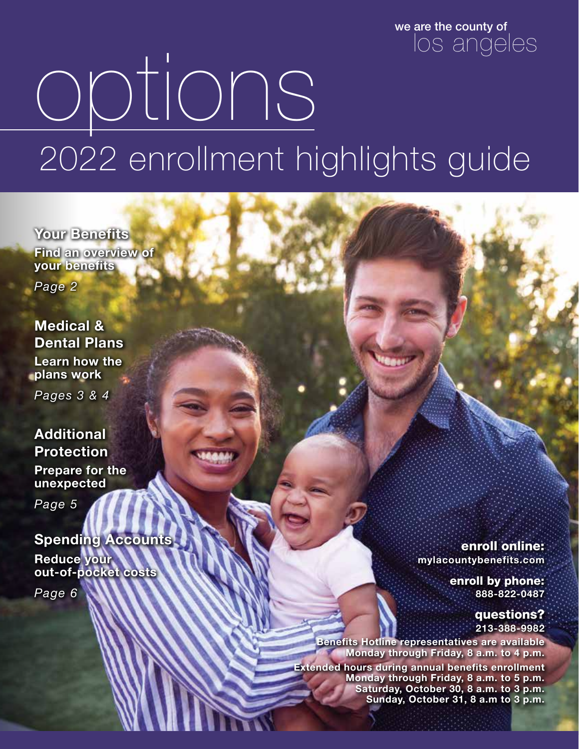we are the county of los angeles

# options 2022 enrollment highlights guide

**Your Benefits Find an overview of your benefits** *Page 2*

**Medical & Dental Plans Learn how the plans work**

*Pages 3 & 4*

#### **Additional Protection**

**Prepare for the unexpected**

*Page 5*

#### **Spending Accounts Reduce your out-of-pocket costs**

*Page 6*

enroll online: **mylacountybenefits.com**

> enroll by phone: **888-822-0487**

> > questions? **213-388-9982**

**Benefits Hotline representatives are available Monday through Friday, 8 a.m. to 4 p.m.**

**Extended hours during annual benefits enrollment Monday through Friday, 8 a.m. to 5 p.m. Saturday, October 30,** 8 a.m. to 3 **p.m. Sunday, October 31, 8 a.m to 3 p.m.**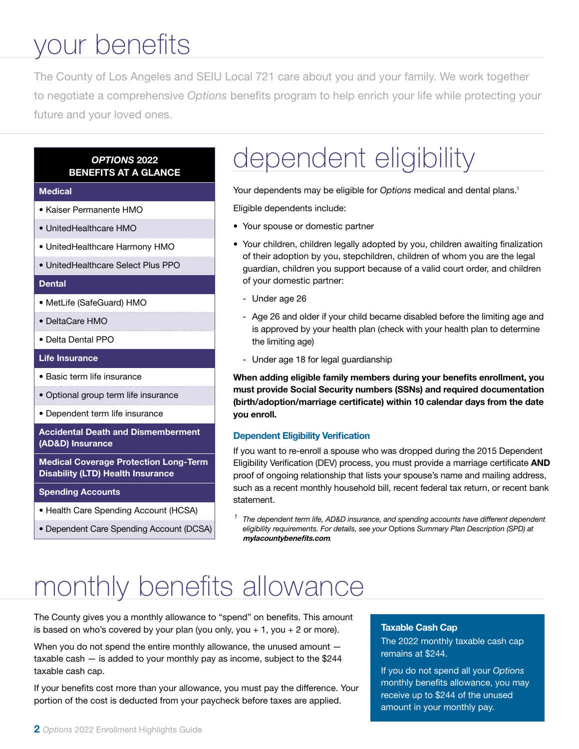# your benefits

The County of Los Angeles and SEIU Local 721 care about you and your family. We work together to negotiate a comprehensive *Options* benefits program to help enrich your life while protecting your future and your loved ones.

#### *OPTIONS* 2022 BENEFITS AT A GLANCE

#### **Medical**

- Kaiser Permanente HMO
- UnitedHealthcare HMO
- UnitedHealthcare Harmony HMO
- UnitedHealthcare Select Plus PPO

#### **Dental**

- MetLife (SafeGuard) HMO
- DeltaCare HMO
- Delta Dental PPO

Life Insurance

- Basic term life insurance
- Optional group term life insurance
- Dependent term life insurance

#### Accidental Death and Dismemberment (AD&D) Insurance

Medical Coverage Protection Long-Term Disability (LTD) Health Insurance

- Spending Accounts
- Health Care Spending Account (HCSA)
- Dependent Care Spending Account (DCSA)

### dependent eligibility

Your dependents may be eligible for *Options* medical and dental plans.<sup>1</sup>

Eligible dependents include:

- Your spouse or domestic partner
- Your children, children legally adopted by you, children awaiting finalization of their adoption by you, stepchildren, children of whom you are the legal guardian, children you support because of a valid court order, and children of your domestic partner:
	- Under age 26
	- Age 26 and older if your child became disabled before the limiting age and is approved by your health plan (check with your health plan to determine the limiting age)
	- Under age 18 for legal guardianship

When adding eligible family members during your benefits enrollment, you must provide Social Security numbers (SSNs) and required documentation (birth/adoption/marriage certificate) within 10 calendar days from the date you enroll.

#### Dependent Eligibility Verification

If you want to re-enroll a spouse who was dropped during the 2015 Dependent Eligibility Verification (DEV) process, you must provide a marriage certificate AND proof of ongoing relationship that lists your spouse's name and mailing address, such as a recent monthly household bill, recent federal tax return, or recent bank statement.

*<sup>1</sup> The dependent term life, AD&D insurance, and spending accounts have different dependent eligibility requirements. For details, see your* Options *Summary Plan Description (SPD) at*  mylacountybenefits.com*.*

### monthly benefits allowance

The County gives you a monthly allowance to "spend" on benefits. This amount is based on who's covered by your plan (you only, you  $+1$ , you  $+2$  or more).

When you do not spend the entire monthly allowance, the unused amount  $$ taxable cash — is added to your monthly pay as income, subject to the \$244 taxable cash cap.

If your benefits cost more than your allowance, you must pay the difference. Your portion of the cost is deducted from your paycheck before taxes are applied.

#### Taxable Cash Cap

The 2022 monthly taxable cash cap remains at \$244.

If you do not spend all your *Options*  monthly benefits allowance, you may receive up to \$244 of the unused amount in your monthly pay.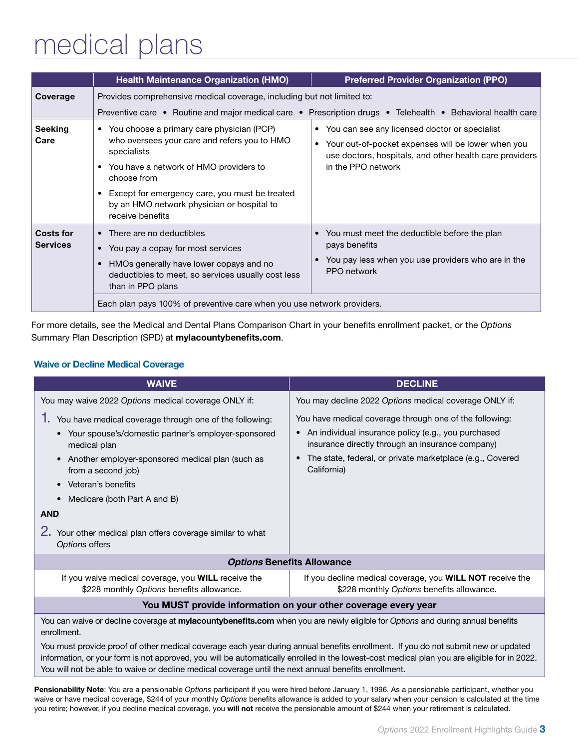# medical plans

|                                     | <b>Health Maintenance Organization (HMO)</b>                                                                                                                                                                                                                                              | <b>Preferred Provider Organization (PPO)</b>                                                                                                                                             |  |  |  |
|-------------------------------------|-------------------------------------------------------------------------------------------------------------------------------------------------------------------------------------------------------------------------------------------------------------------------------------------|------------------------------------------------------------------------------------------------------------------------------------------------------------------------------------------|--|--|--|
| Coverage                            | Provides comprehensive medical coverage, including but not limited to:                                                                                                                                                                                                                    |                                                                                                                                                                                          |  |  |  |
|                                     | Preventive care • Routine and major medical care • Prescription drugs • Telehealth • Behavioral health care                                                                                                                                                                               |                                                                                                                                                                                          |  |  |  |
| <b>Seeking</b><br>Care              | • You choose a primary care physician (PCP)<br>who oversees your care and refers you to HMO<br>specialists<br>• You have a network of HMO providers to<br>choose from<br>Except for emergency care, you must be treated<br>by an HMO network physician or hospital to<br>receive benefits | • You can see any licensed doctor or specialist<br>• Your out-of-pocket expenses will be lower when you<br>use doctors, hospitals, and other health care providers<br>in the PPO network |  |  |  |
| <b>Costs for</b><br><b>Services</b> | There are no deductibles<br>You pay a copay for most services<br>HMOs generally have lower copays and no<br>deductibles to meet, so services usually cost less<br>than in PPO plans<br>Each plan pays 100% of preventive care when you use network providers.                             | • You must meet the deductible before the plan<br>pays benefits<br>You pay less when you use providers who are in the<br>PPO network                                                     |  |  |  |

For more details, see the Medical and Dental Plans Comparison Chart in your benefits enrollment packet, or the *Options* Summary Plan Description (SPD) at mylacountybenefits.com.

#### Waive or Decline Medical Coverage

| <b>WAIVE</b>                                                                                                                                                                                                                                                                                                                                                                                                                                                                                                                              | <b>DECLINE</b>                                                                                                                                                                                                                                 |  |  |  |
|-------------------------------------------------------------------------------------------------------------------------------------------------------------------------------------------------------------------------------------------------------------------------------------------------------------------------------------------------------------------------------------------------------------------------------------------------------------------------------------------------------------------------------------------|------------------------------------------------------------------------------------------------------------------------------------------------------------------------------------------------------------------------------------------------|--|--|--|
| You may waive 2022 Options medical coverage ONLY if:                                                                                                                                                                                                                                                                                                                                                                                                                                                                                      | You may decline 2022 Options medical coverage ONLY if:                                                                                                                                                                                         |  |  |  |
| ٦.<br>You have medical coverage through one of the following:<br>• Your spouse's/domestic partner's employer-sponsored<br>medical plan<br>Another employer-sponsored medical plan (such as<br>$\bullet$<br>from a second job)<br>Veteran's benefits<br>Medicare (both Part A and B)                                                                                                                                                                                                                                                       | You have medical coverage through one of the following:<br>An individual insurance policy (e.g., you purchased<br>insurance directly through an insurance company)<br>The state, federal, or private marketplace (e.g., Covered<br>California) |  |  |  |
| <b>AND</b><br>2. Your other medical plan offers coverage similar to what<br>Options offers                                                                                                                                                                                                                                                                                                                                                                                                                                                |                                                                                                                                                                                                                                                |  |  |  |
| <b>Options Benefits Allowance</b>                                                                                                                                                                                                                                                                                                                                                                                                                                                                                                         |                                                                                                                                                                                                                                                |  |  |  |
| If you waive medical coverage, you WILL receive the<br>If you decline medical coverage, you WILL NOT receive the<br>\$228 monthly Options benefits allowance.<br>\$228 monthly Options benefits allowance.                                                                                                                                                                                                                                                                                                                                |                                                                                                                                                                                                                                                |  |  |  |
| You MUST provide information on your other coverage every year                                                                                                                                                                                                                                                                                                                                                                                                                                                                            |                                                                                                                                                                                                                                                |  |  |  |
| You can waive or decline coverage at mylacountybenefits.com when you are newly eligible for Options and during annual benefits<br>enrollment.<br>You must provide proof of other medical coverage each year during annual benefits enrollment. If you do not submit new or updated<br>information, or your form is not approved, you will be automatically enrolled in the lowest-cost medical plan you are eligible for in 2022.<br>You will not be able to waive or decline medical coverage until the next annual benefits enrollment. |                                                                                                                                                                                                                                                |  |  |  |

Pensionability Note: You are a pensionable *Options* participant if you were hired before January 1, 1996. As a pensionable participant, whether you waive or have medical coverage, \$244 of your monthly *Options* benefits allowance is added to your salary when your pension is calculated at the time you retire; however, if you decline medical coverage, you will not receive the pensionable amount of \$244 when your retirement is calculated.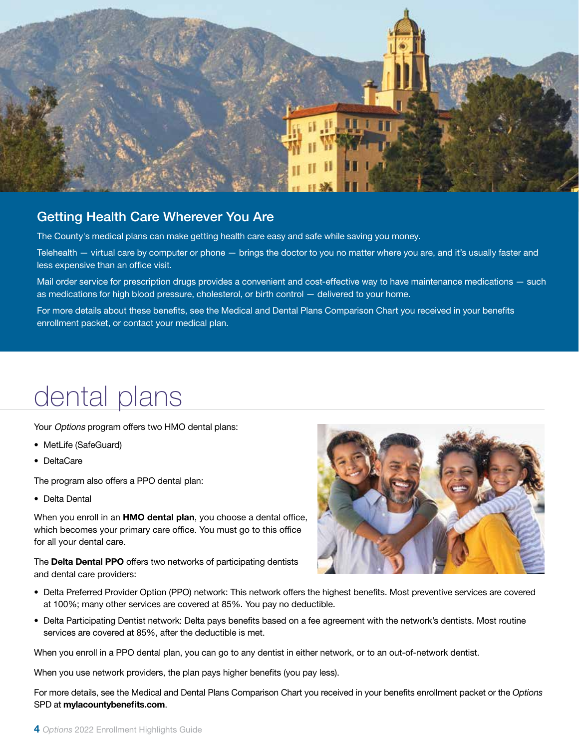

#### Getting Health Care Wherever You Are

The County's medical plans can make getting health care easy and safe while saving you money.

Telehealth — virtual care by computer or phone — brings the doctor to you no matter where you are, and it's usually faster and less expensive than an office visit.

Mail order service for prescription drugs provides a convenient and cost-effective way to have maintenance medications — such as medications for high blood pressure, cholesterol, or birth control — delivered to your home.

For more details about these benefits, see the Medical and Dental Plans Comparison Chart you received in your benefits enrollment packet, or contact your medical plan.

### dental plans

Your Options program offers two HMO dental plans:

- MetLife (SafeGuard)
- DeltaCare

The program also offers a PPO dental plan:

• Delta Dental

When you enroll in an HMO dental plan, you choose a dental office, which becomes your primary care office. You must go to this office for all your dental care.

The Delta Dental PPO offers two networks of participating dentists and dental care providers:



- Delta Preferred Provider Option (PPO) network: This network offers the highest benefits. Most preventive services are covered at 100%; many other services are covered at 85%. You pay no deductible.
- Delta Participating Dentist network: Delta pays benefits based on a fee agreement with the network's dentists. Most routine services are covered at 85%, after the deductible is met.

When you enroll in a PPO dental plan, you can go to any dentist in either network, or to an out-of-network dentist.

When you use network providers, the plan pays higher benefits (you pay less).

For more details, see the Medical and Dental Plans Comparison Chart you received in your benefits enrollment packet or the *Options* SPD at mylacountybenefits.com.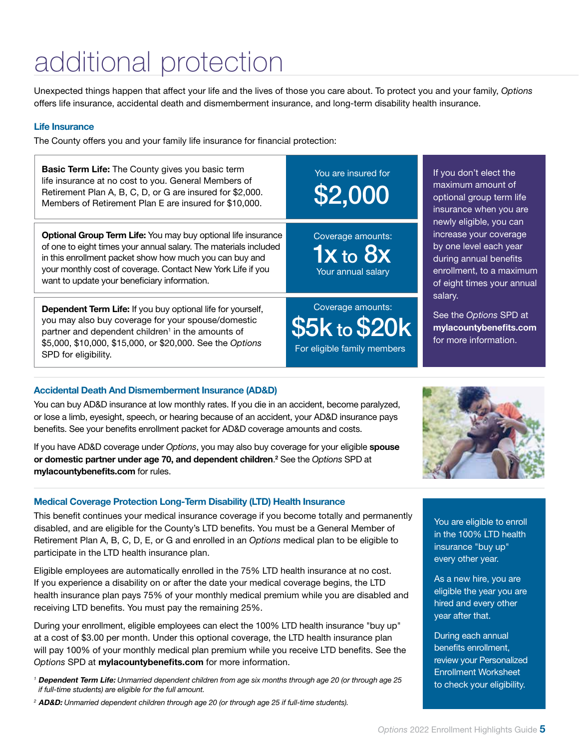# additional protection

Unexpected things happen that affect your life and the lives of those you care about. To protect you and your family, *Options* offers life insurance, accidental death and dismemberment insurance, and long-term disability health insurance.

#### Life Insurance

The County offers you and your family life insurance for financial protection:

| <b>Basic Term Life:</b> The County gives you basic term<br>life insurance at no cost to you. General Members of<br>Retirement Plan A, B, C, D, or G are insured for \$2,000.<br>Members of Retirement Plan E are insured for \$10,000.                                                                             | You are insured for<br>\$2,000                                    | If you don't elect the<br>maximum amount of<br>optional group term life<br>insurance when you are<br>newly eligible, you can<br>increase your coverage<br>by one level each year<br>during annual benefits<br>enrollment, to a maximum<br>of eight times your annual<br>salary.<br>See the Options SPD at<br>mylacountybenefits.com<br>for more information. |  |
|--------------------------------------------------------------------------------------------------------------------------------------------------------------------------------------------------------------------------------------------------------------------------------------------------------------------|-------------------------------------------------------------------|--------------------------------------------------------------------------------------------------------------------------------------------------------------------------------------------------------------------------------------------------------------------------------------------------------------------------------------------------------------|--|
| <b>Optional Group Term Life:</b> You may buy optional life insurance<br>of one to eight times your annual salary. The materials included<br>in this enrollment packet show how much you can buy and<br>your monthly cost of coverage. Contact New York Life if you<br>want to update your beneficiary information. | Coverage amounts:<br>$1x$ to $8x$<br>Your annual salary           |                                                                                                                                                                                                                                                                                                                                                              |  |
| <b>Dependent Term Life:</b> If you buy optional life for yourself,<br>you may also buy coverage for your spouse/domestic<br>partner and dependent children <sup>1</sup> in the amounts of<br>\$5,000, \$10,000, \$15,000, or \$20,000. See the Options<br>SPD for eligibility.                                     | Coverage amounts:<br>\$5k to \$20k<br>For eligible family members |                                                                                                                                                                                                                                                                                                                                                              |  |

#### Accidental Death And Dismemberment Insurance (AD&D)

You can buy AD&D insurance at low monthly rates. If you die in an accident, become paralyzed, or lose a limb, eyesight, speech, or hearing because of an accident, your AD&D insurance pays benefits. See your benefits enrollment packet for AD&D coverage amounts and costs.

If you have AD&D coverage under *Options*, you may also buy coverage for your eligible spouse or domestic partner under age 70, and dependent children. 2 See the *Options* SPD at mylacountybenefits.com for rules.

#### Medical Coverage Protection Long-Term Disability (LTD) Health Insurance

This benefit continues your medical insurance coverage if you become totally and permanently disabled, and are eligible for the County's LTD benefits. You must be a General Member of Retirement Plan A, B, C, D, E, or G and enrolled in an *Options* medical plan to be eligible to participate in the LTD health insurance plan.

Eligible employees are automatically enrolled in the 75% LTD health insurance at no cost. If you experience a disability on or after the date your medical coverage begins, the LTD health insurance plan pays 75% of your monthly medical premium while you are disabled and receiving LTD benefits. You must pay the remaining 25%.

During your enrollment, eligible employees can elect the 100% LTD health insurance "buy up" at a cost of \$3.00 per month. Under this optional coverage, the LTD health insurance plan will pay 100% of your monthly medical plan premium while you receive LTD benefits. See the *Options* SPD at mylacountybenefits.com for more information.

*<sup>1</sup>* Dependent Term Life: *Unmarried dependent children from age six months through age 20 (or through age 25 if full-time students) are eligible for the full amount.*

*<sup>2</sup>* AD&D: *Unmarried dependent children through age 20 (or through age 25 if full-time students).*

You are eligible to enroll in the 100% LTD health insurance "buy up" every other year.

As a new hire, you are eligible the year you are hired and every other year after that.

During each annual benefits enrollment, review your Personalized Enrollment Worksheet to check your eligibility.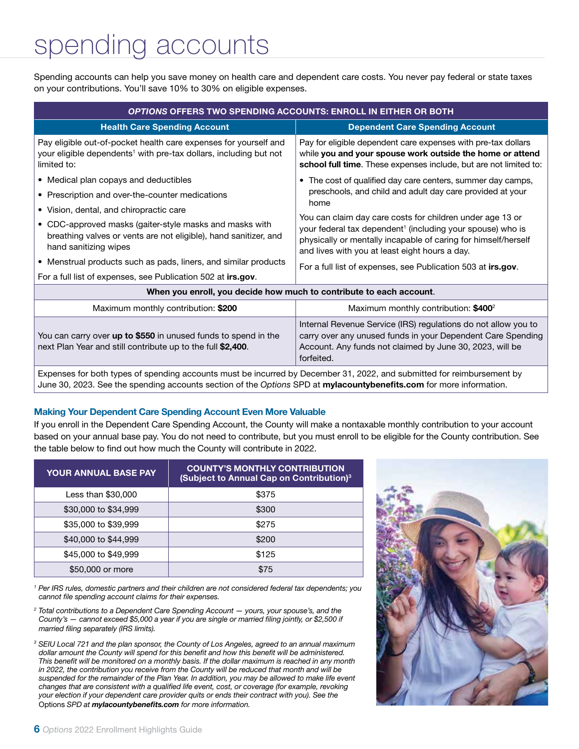## spending accounts

Spending accounts can help you save money on health care and dependent care costs. You never pay federal or state taxes on your contributions. You'll save 10% to 30% on eligible expenses.

| <b>OPTIONS OFFERS TWO SPENDING ACCOUNTS: ENROLL IN EITHER OR BOTH</b>                                                                                            |                                                                                                                                                                                                                                                                                                                                 |  |  |  |
|------------------------------------------------------------------------------------------------------------------------------------------------------------------|---------------------------------------------------------------------------------------------------------------------------------------------------------------------------------------------------------------------------------------------------------------------------------------------------------------------------------|--|--|--|
| <b>Health Care Spending Account</b>                                                                                                                              | <b>Dependent Care Spending Account</b>                                                                                                                                                                                                                                                                                          |  |  |  |
| Pay eligible out-of-pocket health care expenses for yourself and<br>your eligible dependents <sup>1</sup> with pre-tax dollars, including but not<br>limited to: | Pay for eligible dependent care expenses with pre-tax dollars<br>while you and your spouse work outside the home or attend<br>school full time. These expenses include, but are not limited to:                                                                                                                                 |  |  |  |
| • Medical plan copays and deductibles                                                                                                                            | • The cost of qualified day care centers, summer day camps,                                                                                                                                                                                                                                                                     |  |  |  |
| • Prescription and over-the-counter medications                                                                                                                  | preschools, and child and adult day care provided at your                                                                                                                                                                                                                                                                       |  |  |  |
| • Vision, dental, and chiropractic care                                                                                                                          | home<br>You can claim day care costs for children under age 13 or<br>your federal tax dependent <sup>1</sup> (including your spouse) who is<br>physically or mentally incapable of caring for himself/herself<br>and lives with you at least eight hours a day.<br>For a full list of expenses, see Publication 503 at irs.gov. |  |  |  |
| • CDC-approved masks (gaiter-style masks and masks with<br>breathing valves or vents are not eligible), hand sanitizer, and<br>hand sanitizing wipes             |                                                                                                                                                                                                                                                                                                                                 |  |  |  |
| • Menstrual products such as pads, liners, and similar products                                                                                                  |                                                                                                                                                                                                                                                                                                                                 |  |  |  |
| For a full list of expenses, see Publication 502 at irs.gov.                                                                                                     |                                                                                                                                                                                                                                                                                                                                 |  |  |  |
|                                                                                                                                                                  | When you enroll, you decide how much to contribute to each account.                                                                                                                                                                                                                                                             |  |  |  |
| Maximum monthly contribution: \$200                                                                                                                              | Maximum monthly contribution: \$400 <sup>2</sup>                                                                                                                                                                                                                                                                                |  |  |  |
| You can carry over up to \$550 in unused funds to spend in the<br>next Plan Year and still contribute up to the full \$2,400.                                    | Internal Revenue Service (IRS) regulations do not allow you to<br>carry over any unused funds in your Dependent Care Spending<br>Account. Any funds not claimed by June 30, 2023, will be<br>forfeited.                                                                                                                         |  |  |  |

Expenses for both types of spending accounts must be incurred by December 31, 2022, and submitted for reimbursement by June 30, 2023. See the spending accounts section of the *Options* SPD at mylacountybenefits.com for more information.

#### Making Your Dependent Care Spending Account Even More Valuable

If you enroll in the Dependent Care Spending Account, the County will make a nontaxable monthly contribution to your account based on your annual base pay. You do not need to contribute, but you must enroll to be eligible for the County contribution. See the table below to find out how much the County will contribute in 2022.

| <b>YOUR ANNUAL BASE PAY</b> | <b>COUNTY'S MONTHLY CONTRIBUTION</b><br>(Subject to Annual Cap on Contribution) <sup>3</sup> |
|-----------------------------|----------------------------------------------------------------------------------------------|
| Less than \$30,000          | \$375                                                                                        |
| \$30,000 to \$34,999        | \$300                                                                                        |
| \$35,000 to \$39,999        | \$275                                                                                        |
| \$40,000 to \$44,999        | \$200                                                                                        |
| \$45,000 to \$49,999        | \$125                                                                                        |
| \$50,000 or more            | \$75                                                                                         |

*1 Per IRS rules, domestic partners and their children are not considered federal tax dependents; you cannot file spending account claims for their expenses.* 

*<sup>2</sup> Total contributions to a Dependent Care Spending Account — yours, your spouse's, and the County's — cannot exceed \$5,000 a year if you are single or married filing jointly, or \$2,500 if married filing separately (IRS limits).*

*<sup>3</sup> SEIU Local 721 and the plan sponsor, the County of Los Angeles, agreed to an annual maximum dollar amount the County will spend for this benefit and how this benefit will be administered. This benefit will be monitored on a monthly basis. If the dollar maximum is reached in any month in 2022, the contribution you receive from the County will be reduced that month and will be suspended for the remainder of the Plan Year. In addition, you may be allowed to make life event changes that are consistent with a qualified life event, cost, or coverage (for example, revoking your election if your dependent care provider quits or ends their contract with you). See the*  Options *SPD at mylacountybenefits.com for more information.*

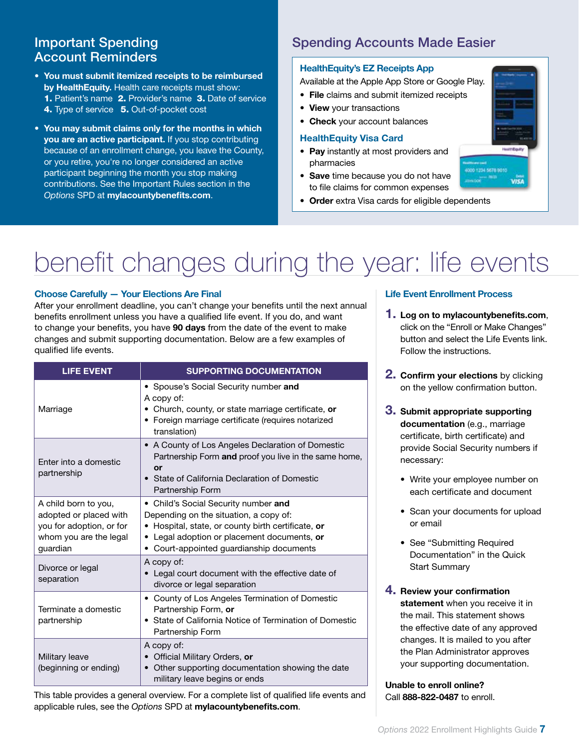### Account Reminders

- You must submit itemized receipts to be reimbursed by HealthEquity. Health care receipts must show: 1. Patient's name 2. Provider's name 3. Date of service 4. Type of service 5. Out-of-pocket cost
- You may submit claims only for the months in which you are an active participant. If you stop contributing because of an enrollment change, you leave the County, or you retire, you're no longer considered an active participant beginning the month you stop making contributions. See the Important Rules section in the *Options* SPD at mylacountybenefits.com.

#### **Important Spending Community Spending Accounts Made Easier**

#### HealthEquity's EZ Receipts App

Available at the Apple App Store or Google Play.

- File claims and submit itemized receipts
- View your transactions

#### • Check your account balances

#### HealthEquity Visa Card

- Pay instantly at most providers and pharmacies
- Save time because you do not have to file claims for common expenses
- Order extra Visa cards for eligible dependents

# benefit changes during the year: life events

#### Choose Carefully — Your Elections Are Final

After your enrollment deadline, you can't change your benefits until the next annual benefits enrollment unless you have a qualified life event. If you do, and want to change your benefits, you have 90 days from the date of the event to make changes and submit supporting documentation. Below are a few examples of qualified life events.

| <b>LIFE EVENT</b>                                                                                                | <b>SUPPORTING DOCUMENTATION</b>                                                                                                                                                                                                 |  |  |  |
|------------------------------------------------------------------------------------------------------------------|---------------------------------------------------------------------------------------------------------------------------------------------------------------------------------------------------------------------------------|--|--|--|
| Marriage                                                                                                         | • Spouse's Social Security number and<br>A copy of:<br>• Church, county, or state marriage certificate, or<br>• Foreign marriage certificate (requires notarized<br>translation)                                                |  |  |  |
| Enter into a domestic<br>partnership                                                                             | • A County of Los Angeles Declaration of Domestic<br>Partnership Form and proof you live in the same home,<br>or<br>State of California Declaration of Domestic<br>Partnership Form                                             |  |  |  |
| A child born to you,<br>adopted or placed with<br>you for adoption, or for<br>whom you are the legal<br>guardian | • Child's Social Security number and<br>Depending on the situation, a copy of:<br>• Hospital, state, or county birth certificate, or<br>• Legal adoption or placement documents, or<br>• Court-appointed guardianship documents |  |  |  |
| Divorce or legal<br>separation                                                                                   | A copy of:<br>• Legal court document with the effective date of<br>divorce or legal separation                                                                                                                                  |  |  |  |
| Terminate a domestic<br>partnership                                                                              | • County of Los Angeles Termination of Domestic<br>Partnership Form, or<br>• State of California Notice of Termination of Domestic<br>Partnership Form                                                                          |  |  |  |
| Military leave<br>(beginning or ending)                                                                          | A copy of:<br>Official Military Orders, or<br>Other supporting documentation showing the date<br>military leave begins or ends                                                                                                  |  |  |  |

This table provides a general overview. For a complete list of qualified life events and applicable rules, see the *Options* SPD at mylacountybenefits.com.

#### Life Event Enrollment Process

- **1.** Log on to mylacountybenefits.com, click on the "Enroll or Make Changes" button and select the Life Events link. Follow the instructions.
- **2. Confirm your elections** by clicking on the yellow confirmation button.
- 3. Submit appropriate supporting documentation (e.g., marriage certificate, birth certificate) and provide Social Security numbers if necessary:
	- Write your employee number on each certificate and document
	- Scan your documents for upload or email
	- See "Submitting Required Documentation" in the Quick Start Summary
- 4. Review your confirmation statement when you receive it in the mail. This statement shows the effective date of any approved changes. It is mailed to you after the Plan Administrator approves your supporting documentation.

Unable to enroll online? Call 888-822-0487 to enroll.